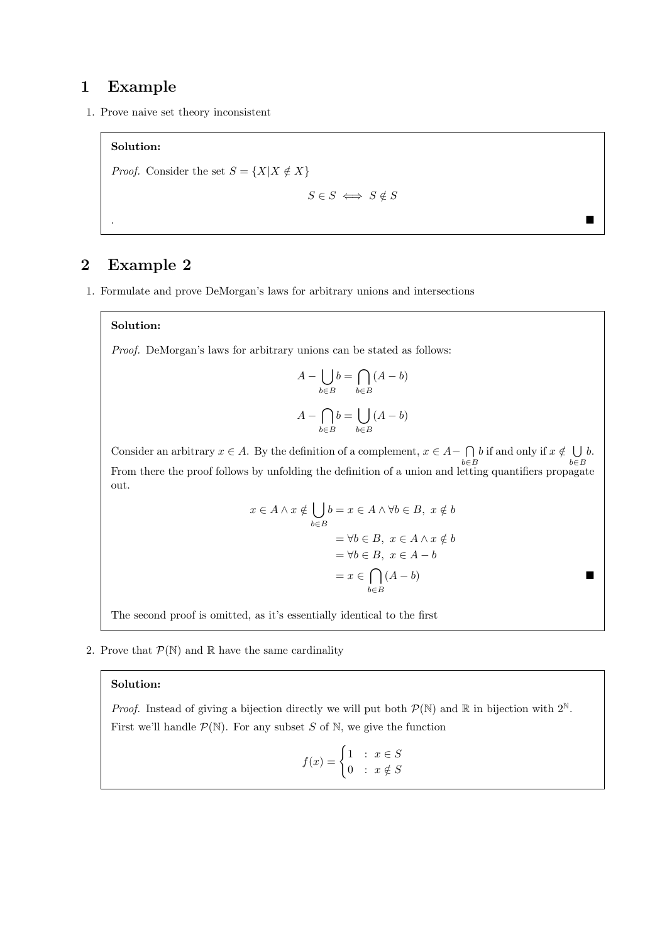# 1 Example

1. Prove naive set theory inconsistent

### Solution:

*Proof.* Consider the set  $S = \{X | X \notin X\}$ 

$$
S \in S \iff S \notin S
$$

. A construction of the construction of the construction of the construction of the construction of the construction

## 2 Example 2

1. Formulate and prove DeMorgan's laws for arbitrary unions and intersections

#### Solution:

Proof. DeMorgan's laws for arbitrary unions can be stated as follows:

$$
A - \bigcup_{b \in B} b = \bigcap_{b \in B} (A - b)
$$

$$
A - \bigcap_{b \in B} b = \bigcup_{b \in B} (A - b)
$$

Consider an arbitrary  $x \in A$ . By the definition of a complement,  $x \in A - \bigcap A$ b∈B b if and only if  $x \notin \bigcup$ b∈B b. From there the proof follows by unfolding the definition of a union and letting quantifiers propagate out.

$$
x \in A \land x \notin \bigcup_{b \in B} b = x \in A \land \forall b \in B, \ x \notin b
$$

$$
= \forall b \in B, \ x \in A \land x \notin b
$$

$$
= \forall b \in B, \ x \in A - b
$$

$$
= x \in \bigcap_{b \in B} (A - b)
$$

The second proof is omitted, as it's essentially identical to the first

2. Prove that  $\mathcal{P}(\mathbb{N})$  and  $\mathbb R$  have the same cardinality

#### Solution:

*Proof.* Instead of giving a bijection directly we will put both  $\mathcal{P}(\mathbb{N})$  and  $\mathbb{R}$  in bijection with  $2^{\mathbb{N}}$ . First we'll handle  $\mathcal{P}(\mathbb{N})$ . For any subset S of N, we give the function

$$
f(x) = \begin{cases} 1 & \text{: } x \in S \\ 0 & \text{: } x \notin S \end{cases}
$$